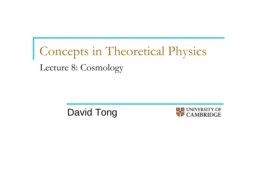# Concepts in Theoretical Physics Lecture 8: Cosmology

David Tong

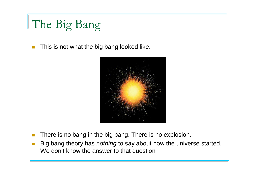# The Big Bang

 $\mathcal{L}_{\mathcal{A}}$ This is not what the big bang looked like.



- $\mathcal{L}_{\mathcal{A}}$ There is no bang in the big bang. There is no explosion.
- $\mathcal{L}_{\mathcal{A}}$ ■ Big bang theory has *nothing* to say about how the universe started. We don't know the answer to that question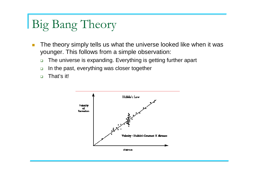## Big Bang Theory

- $\overline{\mathbb{R}}$  The theory simply tells us what the universe looked like when it was younger. This follows from a simple observation:
	- $\Box$ The universe is expanding. Everything is getting further apart
	- $\Box$ In the past, everything was closer together
	- $\Box$ That's it!



distance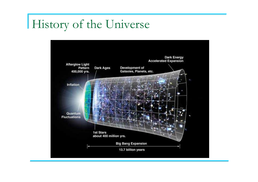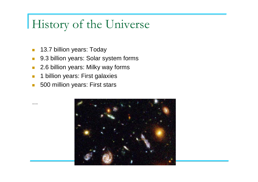- $\mathcal{L}_{\mathcal{A}}$ 13.7 billion years: Today
- $\mathcal{L}^{\mathcal{L}}$ 9.3 billion years: Solar system forms
- $\mathcal{L}$ 2.6 billion years: Milky way forms
- $\mathcal{L}_{\mathcal{A}}$ 1 billion years: First galaxies
- $\mathcal{C}^{\mathcal{A}}$ 500 million years: First stars

…

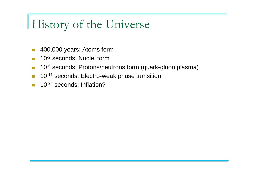- $\mathcal{C}^{\mathcal{A}}$ 400,000 years: Atoms form
- $\blacksquare$  10<sup>-2</sup> seconds: Nuclei form  $\mathcal{C}^{\mathcal{A}}$
- 10<sup>-6</sup> seconds: Protons/neutrons form (quark-gluon plasma)  $\mathcal{C}^{\mathcal{A}}$
- $\mathcal{L}_{\mathrm{eff}}$ 10<sup>-11</sup> seconds: Electro-weak phase transition
- $\mathcal{L}^{\mathcal{L}}$ 10<sup>-34</sup> seconds: Inflation?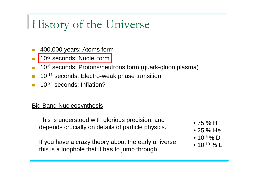- T. 400,000 years: Atoms form
- 10<sup>-2</sup> seconds: Nuclei form T.
- 10<sup>-6</sup> seconds: Protons/neutrons form (quark-gluon plasma) T.
- T. <sup>10</sup>-11 seconds: Electro-weak phase transition
- T. <sup>10</sup>-34 seconds: Inflation?

#### **Big Bang Nucleosynthesis**

This is understood with glorious precision, and depends crucially on details of particle physics.

If you have a crazy theory about the early universe, this is a loophole that it has to jump through.

- 75 % H
- 25 % He
- 10<sup>-5</sup> % D
- 10<sup>-10</sup> % L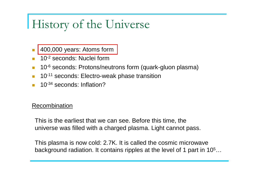- T. 400,000 years: Atoms form
- $\blacksquare$  10<sup>-2</sup> seconds: Nuclei form T.
- 10<sup>-6</sup> seconds: Protons/neutrons form (quark-gluon plasma) п
- **The Co** <sup>10</sup>-11 seconds: Electro-weak phase transition
- T. <sup>10</sup>-34 seconds: Inflation?

#### Recombination

This is the earliest that we can see. Before this time, the universe was filled with a charged plasma. Light cannot pass.

This plasma is now cold: 2.7K. It is called the cosmic microwavebackground radiation. It contains ripples at the level of 1 part in 10 $^5\dots$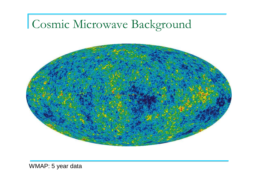# Cosmic Microwave Background



WMAP: 5 year data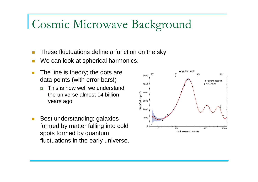### Cosmic Microwave Background

- T. These fluctuations define a function on the sky
- T. We can look at spherical harmonics.
- m. The line is theory; the dots are data points (with error bars!)
	- $\Box$  This is how well we understand the universe almost 14 billion years ago
- $\mathcal{C}_{\mathcal{A}}$  Best understanding: galaxies formed by matter falling into cold spots formed by quantum fluctuations in the early universe.

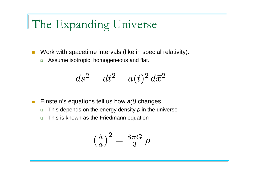## The Expanding Universe

- $\mathcal{L}_{\mathcal{A}}$  Work with spacetime intervals (like in special relativity).
	- □ Assume isotropic, homogeneous and flat.

$$
ds^2 = dt^2 - a(t)^2 d\vec{x}^2
$$

- $\mathcal{C}^{\mathcal{A}}$ Einstein's equations tell us how  $a(t)$  changes.
	- $\Box$  $\texttt{\texttt{m}}$  This depends on the energy density  $\rho$  in the universe
	- $\Box$ This is known as the Friedmann equation

$$
\left(\frac{\dot{a}}{a}\right)^2 = \frac{8\pi G}{3} \rho
$$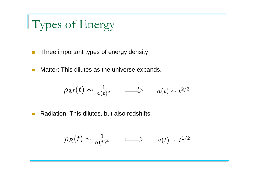# Types of Energy

- $\mathbb{R}^3$ Three important types of energy density
- $\mathcal{L}_{\mathcal{A}}$ Matter: This dilutes as the universe expands.

$$
\rho_M(t) \sim \tfrac{1}{a(t)^3} \qquad \Longrightarrow \qquad a(t) \sim t^{2/3}
$$

 $\mathcal{L}^{\mathcal{L}}$ Radiation: This dilutes, but also redshifts.

$$
\rho_R(t) \sim \frac{1}{a(t)^4} \qquad \Longrightarrow \qquad a(t) \sim t^{1/2}
$$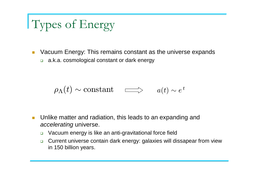# Types of Energy

- **DED Vacuum Energy: This remains constant as the universe expands** 
	- □ a.k.a. cosmological constant or dark energy

$$
\rho_{\Lambda}(t) \sim \text{constant} \quad \Longrightarrow \quad a(t) \sim e^t
$$

- **Diamage 1** Unlike matter and radiation, this leads to an expanding and accelerating universe.
	- $\Box$ Vacuum energy is like an anti-gravitational force field
	- $\Box$  Current universe contain dark energy: galaxies will dissapear from view in 150 billion years.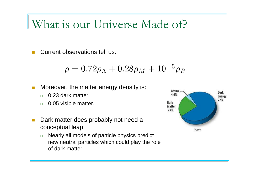### What is our Universe Made of?

 $\mathcal{C}^{\mathcal{A}}$ Current observations tell us:

$$
\rho = 0.72 \rho_{\Lambda} + 0.28 \rho_M + 10^{-5} \rho_R
$$

- $\mathcal{L}_{\mathcal{A}}$  Moreover, the matter energy density is:
	- $\Box$ 0.23 dark matter
	- $\Box$ 0.05 visible matter.
- $\mathcal{L}_{\mathcal{A}}$  Dark matter does probably not need a conceptual leap.
	- $\Box$  Nearly all models of particle physics predict new neutral particles which could play the role of dark matter